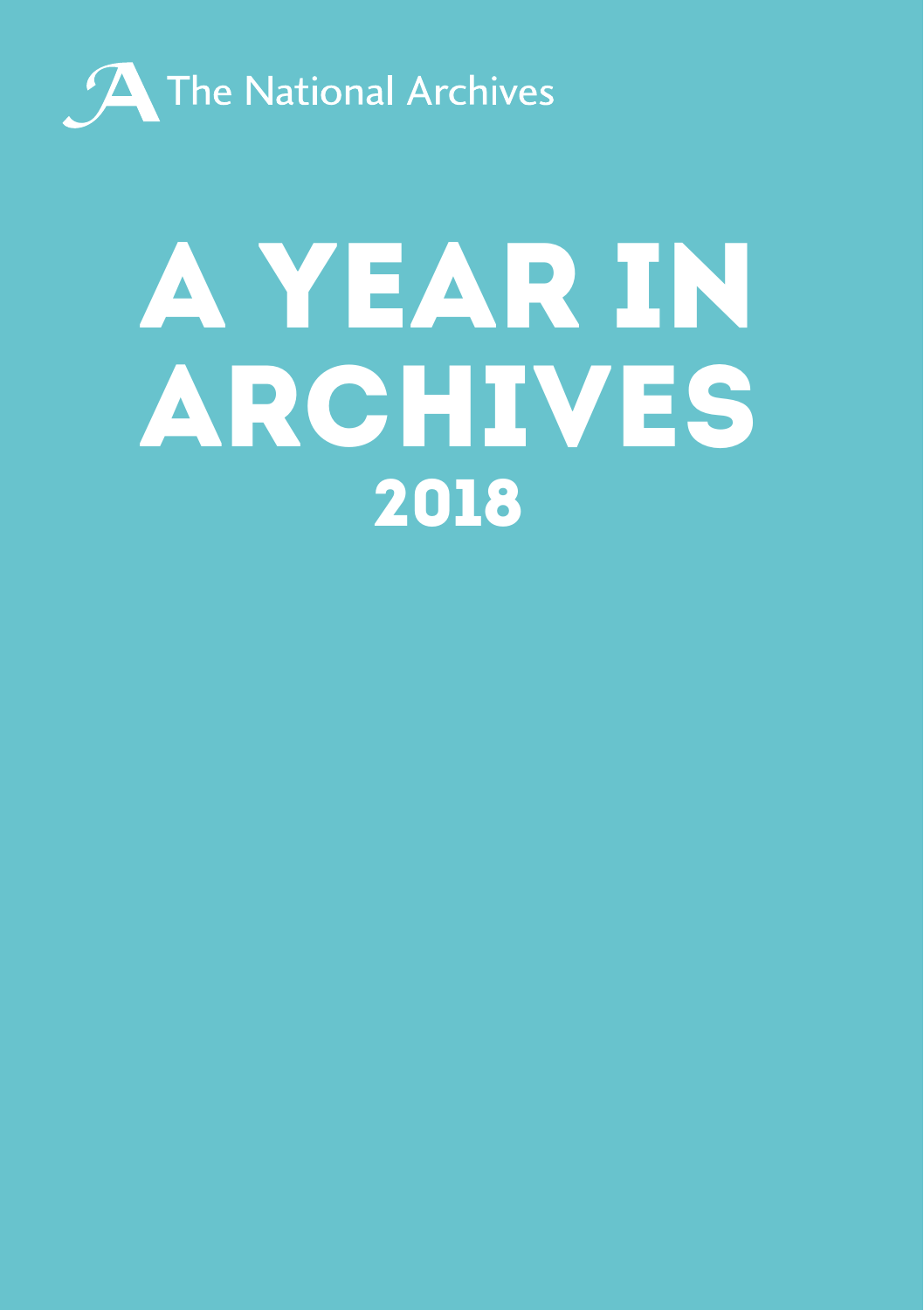

## A YEAR IN ARCHIVES 2018.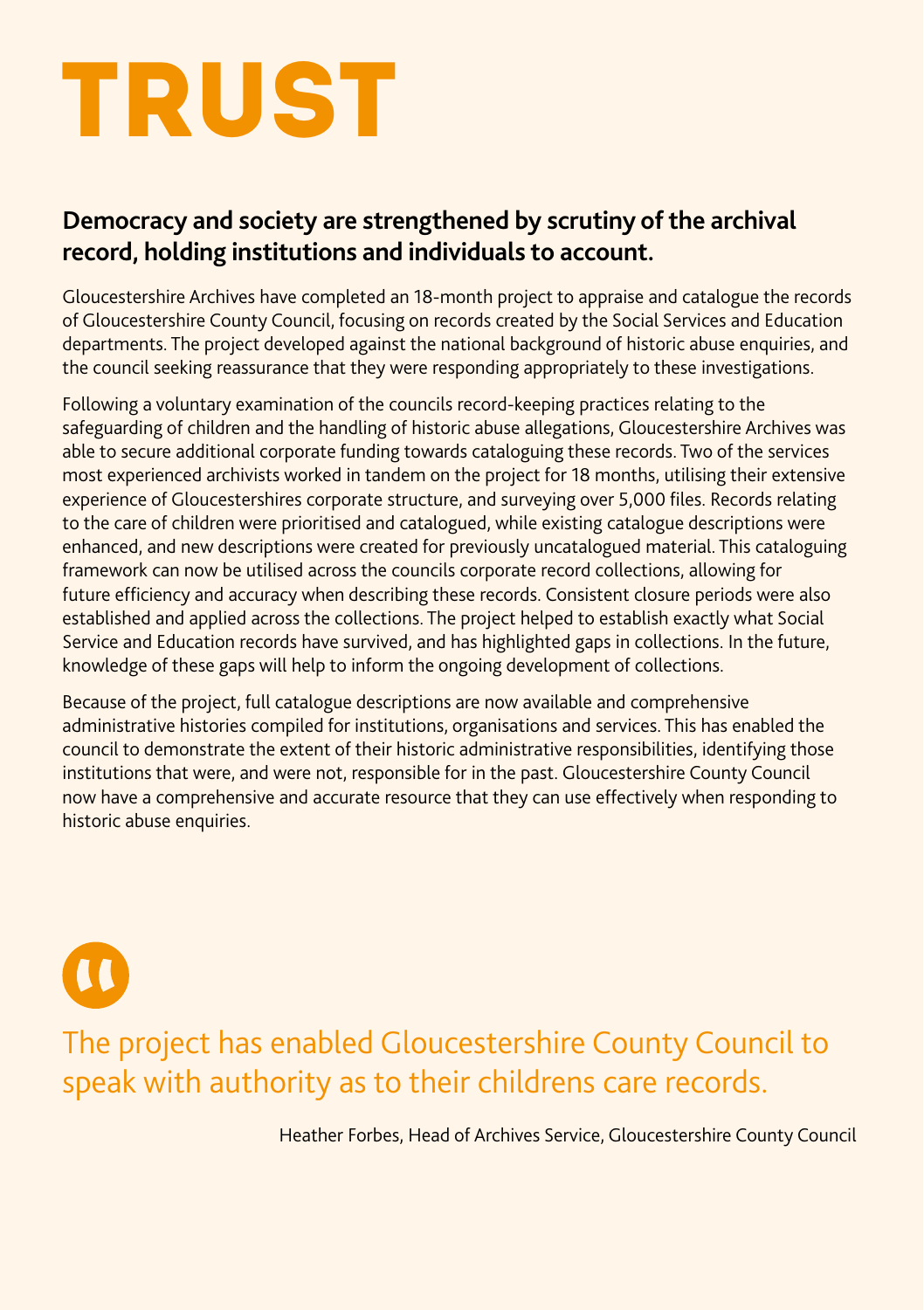## **TRUST**

 $\mathbf{u}$ 

#### **Democracy and society are strengthened by scrutiny of the archival record, holding institutions and individuals to account.**

Gloucestershire Archives have completed an 18-month project to appraise and catalogue the records of Gloucestershire County Council, focusing on records created by the Social Services and Education departments. The project developed against the national background of historic abuse enquiries, and the council seeking reassurance that they were responding appropriately to these investigations.

Following a voluntary examination of the councils record-keeping practices relating to the safeguarding of children and the handling of historic abuse allegations, Gloucestershire Archives was able to secure additional corporate funding towards cataloguing these records. Two of the services most experienced archivists worked in tandem on the project for 18 months, utilising their extensive experience of Gloucestershires corporate structure, and surveying over 5,000 files. Records relating to the care of children were prioritised and catalogued, while existing catalogue descriptions were enhanced, and new descriptions were created for previously uncatalogued material. This cataloguing framework can now be utilised across the councils corporate record collections, allowing for future efficiency and accuracy when describing these records. Consistent closure periods were also established and applied across the collections. The project helped to establish exactly what Social Service and Education records have survived, and has highlighted gaps in collections. In the future, knowledge of these gaps will help to inform the ongoing development of collections.

Because of the project, full catalogue descriptions are now available and comprehensive administrative histories compiled for institutions, organisations and services. This has enabled the council to demonstrate the extent of their historic administrative responsibilities, identifying those institutions that were, and were not, responsible for in the past. Gloucestershire County Council now have a comprehensive and accurate resource that they can use effectively when responding to historic abuse enquiries.

### The project has enabled Gloucestershire County Council to speak with authority as to their childrens care records.

Heather Forbes, Head of Archives Service, Gloucestershire County Council.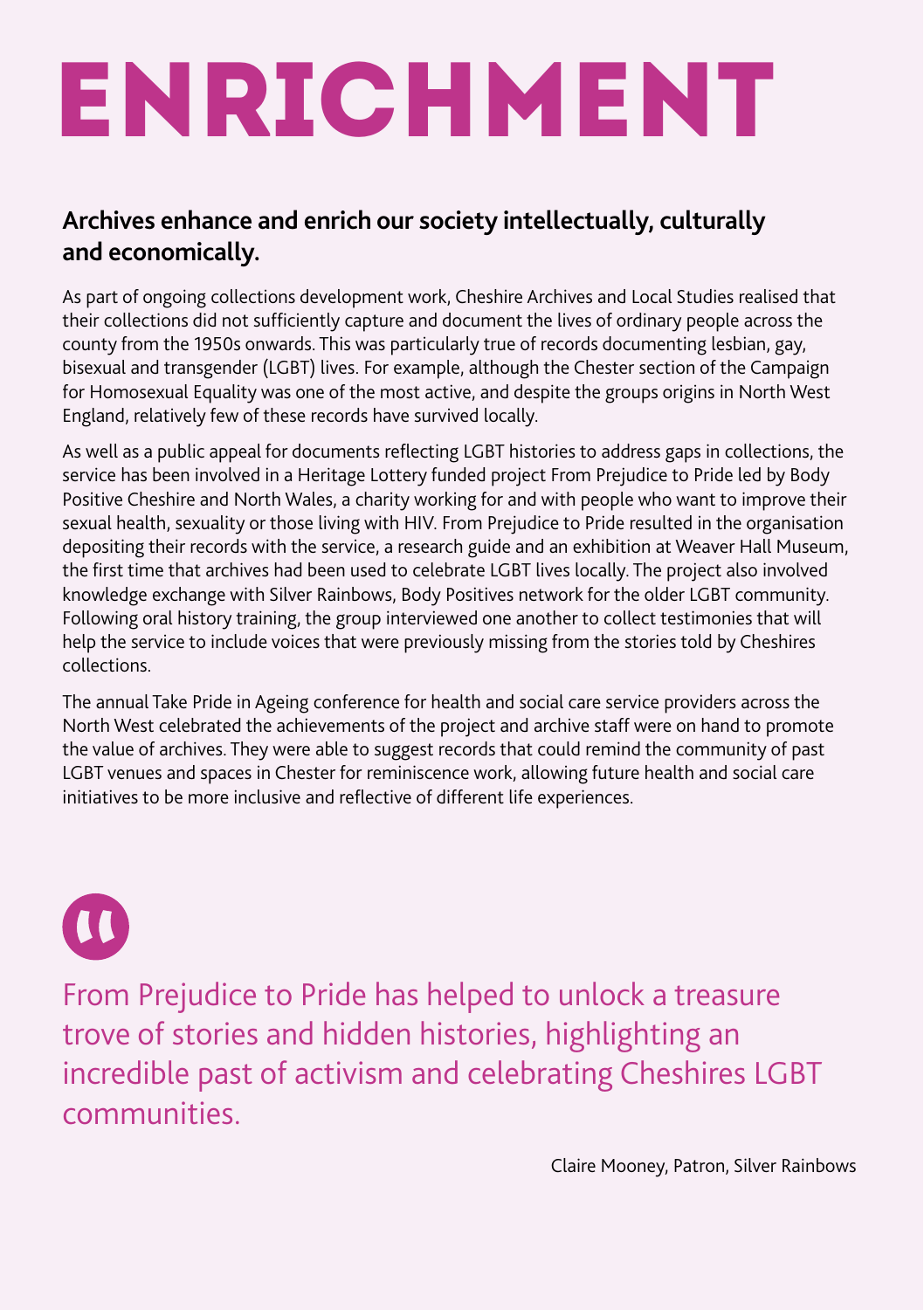# **ENRICHMENT**

#### **Archives enhance and enrich our society intellectually, culturally and economically.**

As part of ongoing collections development work, Cheshire Archives and Local Studies realised that their collections did not sufficiently capture and document the lives of ordinary people across the county from the 1950s onwards. This was particularly true of records documenting lesbian, gay, bisexual and transgender (LGBT) lives. For example, although the Chester section of the Campaign for Homosexual Equality was one of the most active, and despite the groups origins in North West England, relatively few of these records have survived locally.

As well as a public appeal for documents reflecting LGBT histories to address gaps in collections, the service has been involved in a Heritage Lottery funded project From Prejudice to Pride led by Body Positive Cheshire and North Wales, a charity working for and with people who want to improve their sexual health, sexuality or those living with HIV. From Prejudice to Pride resulted in the organisation depositing their records with the service, a research guide and an exhibition at Weaver Hall Museum, the first time that archives had been used to celebrate LGBT lives locally. The project also involved knowledge exchange with Silver Rainbows, Body Positives network for the older LGBT community. Following oral history training, the group interviewed one another to collect testimonies that will help the service to include voices that were previously missing from the stories told by Cheshires collections.

The annual Take Pride in Ageing conference for health and social care service providers across the North West celebrated the achievements of the project and archive staff were on hand to promote the value of archives. They were able to suggest records that could remind the community of past LGBT venues and spaces in Chester for reminiscence work, allowing future health and social care initiatives to be more inclusive and reflective of different life experiences.



From Prejudice to Pride has helped to unlock a treasure trove of stories and hidden histories, highlighting an incredible past of activism and celebrating Cheshires LGBT communities.

Claire Mooney, Patron, Silver Rainbows.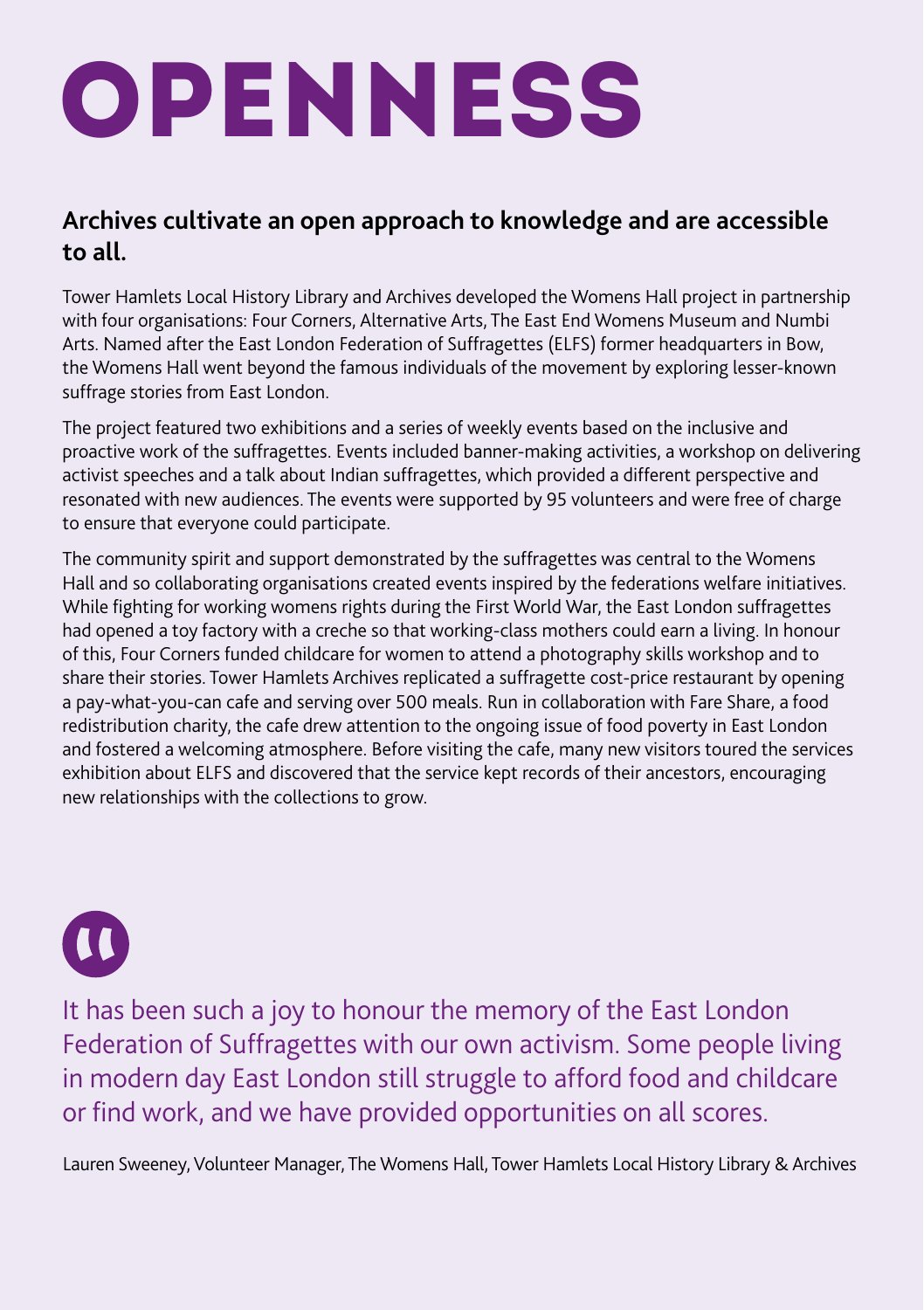## **OPENNESS**

#### **Archives cultivate an open approach to knowledge and are accessible to all.**

Tower Hamlets Local History Library and Archives developed the Womens Hall project in partnership with four organisations: Four Corners, Alternative Arts, The East End Womens Museum and Numbi Arts. Named after the East London Federation of Suffragettes (ELFS) former headquarters in Bow, the Womens Hall went beyond the famous individuals of the movement by exploring lesser-known suffrage stories from East London.

The project featured two exhibitions and a series of weekly events based on the inclusive and proactive work of the suffragettes. Events included banner-making activities, a workshop on delivering activist speeches and a talk about Indian suffragettes, which provided a different perspective and resonated with new audiences. The events were supported by 95 volunteers and were free of charge to ensure that everyone could participate.

The community spirit and support demonstrated by the suffragettes was central to the Womens Hall and so collaborating organisations created events inspired by the federations welfare initiatives. While fighting for working womens rights during the First World War, the East London suffragettes had opened a toy factory with a creche so that working-class mothers could earn a living. In honour of this, Four Corners funded childcare for women to attend a photography skills workshop and to share their stories. Tower Hamlets Archives replicated a suffragette cost-price restaurant by opening a pay-what-you-can cafe and serving over 500 meals. Run in collaboration with Fare Share, a food redistribution charity, the cafe drew attention to the ongoing issue of food poverty in East London and fostered a welcoming atmosphere. Before visiting the cafe, many new visitors toured the services exhibition about ELFS and discovered that the service kept records of their ancestors, encouraging new relationships with the collections to grow.



It has been such a joy to honour the memory of the East London Federation of Suffragettes with our own activism. Some people living in modern day East London still struggle to afford food and childcare or find work, and we have provided opportunities on all scores.

Lauren Sweeney, Volunteer Manager, The Womens Hall, Tower Hamlets Local History Library & Archives.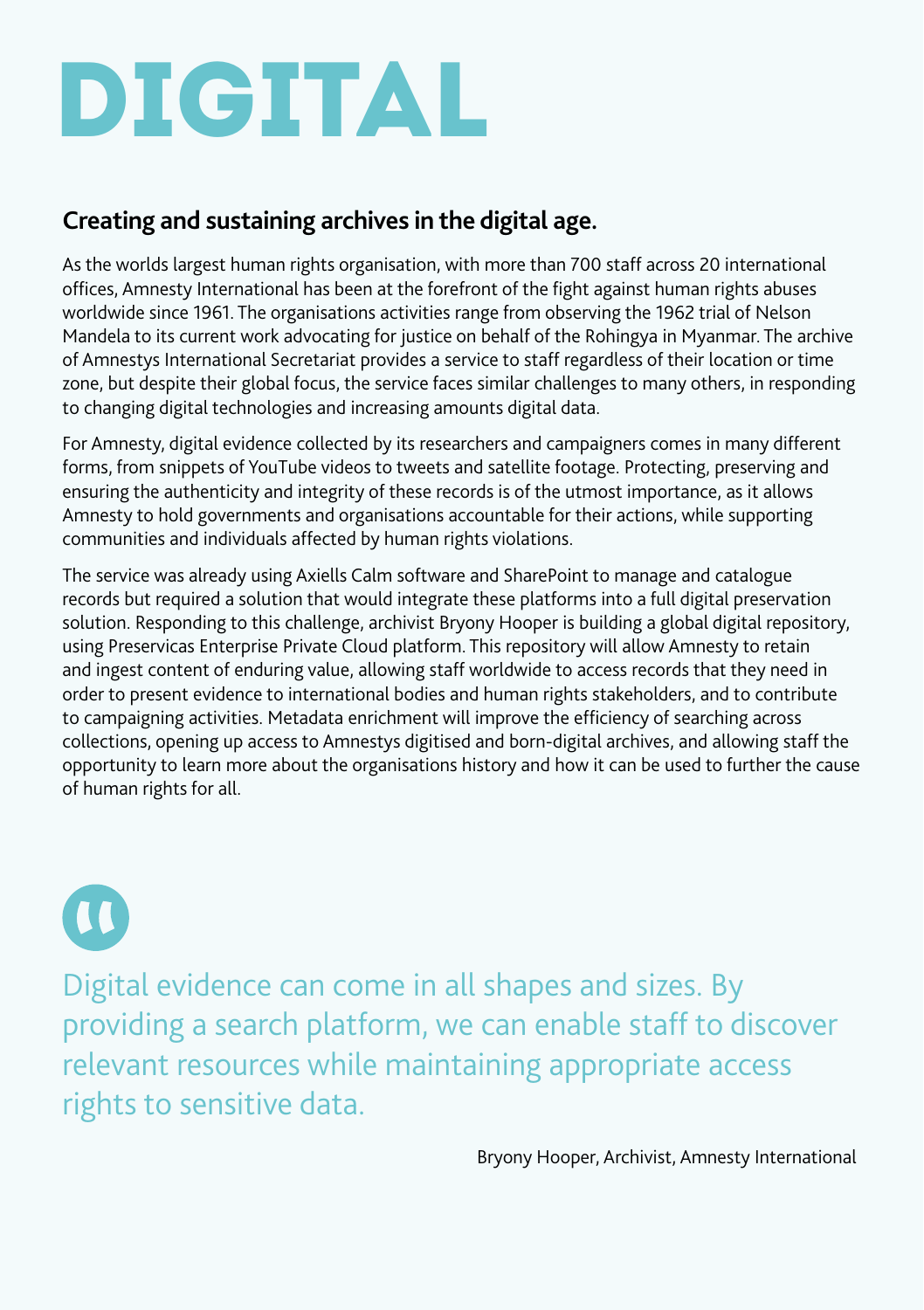### DIGITAL.

#### **Creating and sustaining archives in the digital age.**

As the worlds largest human rights organisation, with more than 700 staff across 20 international offices, Amnesty International has been at the forefront of the fight against human rights abuses worldwide since 1961. The organisations activities range from observing the 1962 trial of Nelson Mandela to its current work advocating for justice on behalf of the Rohingya in Myanmar. The archive of Amnestys International Secretariat provides a service to staff regardless of their location or time zone, but despite their global focus, the service faces similar challenges to many others, in responding to changing digital technologies and increasing amounts digital data.

For Amnesty, digital evidence collected by its researchers and campaigners comes in many different forms, from snippets of YouTube videos to tweets and satellite footage. Protecting, preserving and ensuring the authenticity and integrity of these records is of the utmost importance, as it allows Amnesty to hold governments and organisations accountable for their actions, while supporting communities and individuals affected by human rights violations.

The service was already using Axiells Calm software and SharePoint to manage and catalogue records but required a solution that would integrate these platforms into a full digital preservation solution. Responding to this challenge, archivist Bryony Hooper is building a global digital repository, using Preservicas Enterprise Private Cloud platform. This repository will allow Amnesty to retain and ingest content of enduring value, allowing staff worldwide to access records that they need in order to present evidence to international bodies and human rights stakeholders, and to contribute to campaigning activities. Metadata enrichment will improve the efficiency of searching across collections, opening up access to Amnestys digitised and born-digital archives, and allowing staff the opportunity to learn more about the organisations history and how it can be used to further the cause of human rights for all.

### $\overline{\mathbf{u}}$

Digital evidence can come in all shapes and sizes. By providing a search platform, we can enable staff to discover relevant resources while maintaining appropriate access rights to sensitive data.

Bryony Hooper, Archivist, Amnesty International.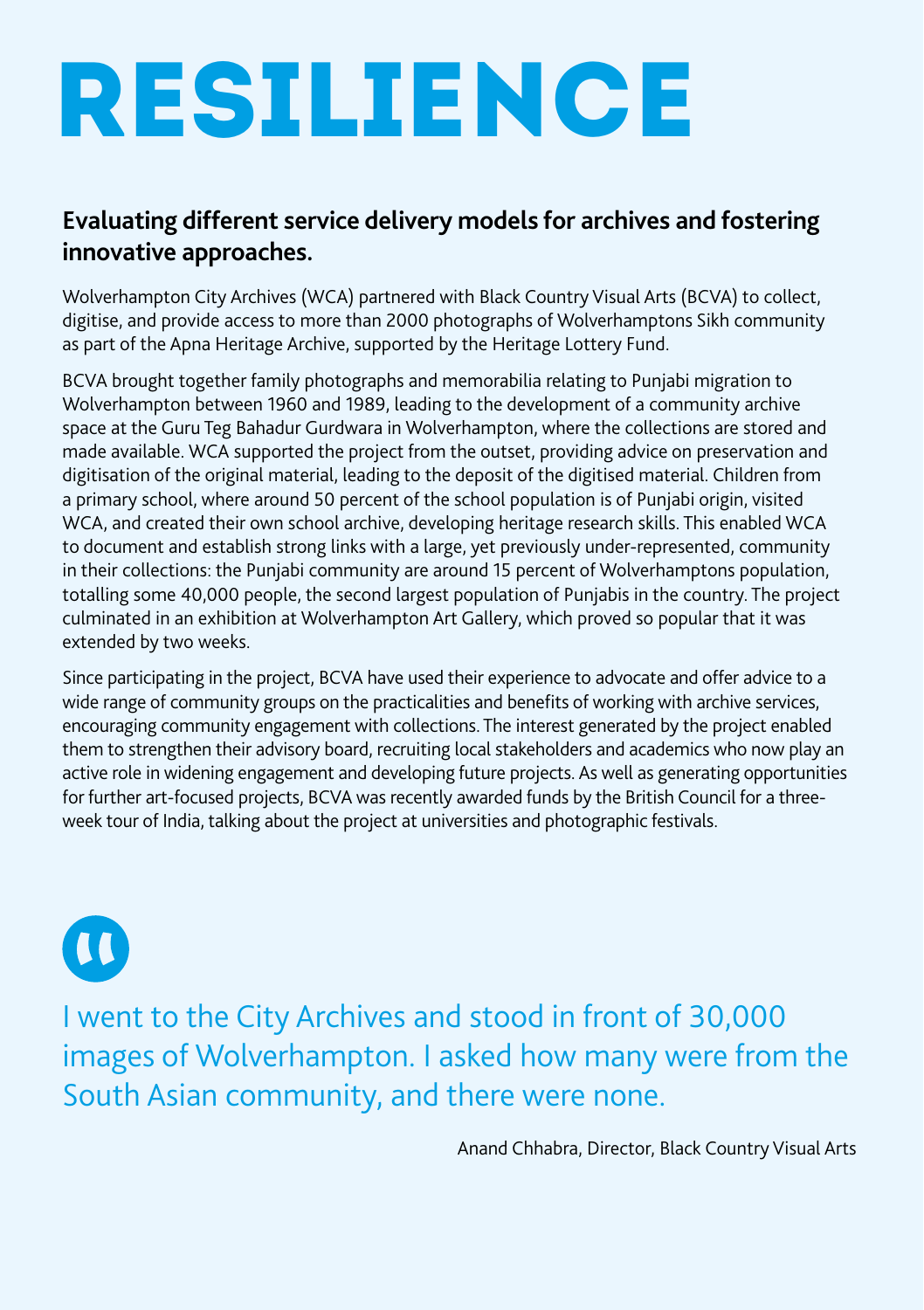### RESILIENCE

#### **Evaluating different service delivery models for archives and fostering innovative approaches.**

Wolverhampton City Archives (WCA) partnered with Black Country Visual Arts (BCVA) to collect, digitise, and provide access to more than 2000 photographs of Wolverhamptons Sikh community as part of the Apna Heritage Archive, supported by the Heritage Lottery Fund.

BCVA brought together family photographs and memorabilia relating to Punjabi migration to Wolverhampton between 1960 and 1989, leading to the development of a community archive space at the Guru Teg Bahadur Gurdwara in Wolverhampton, where the collections are stored and made available. WCA supported the project from the outset, providing advice on preservation and digitisation of the original material, leading to the deposit of the digitised material. Children from a primary school, where around 50 percent of the school population is of Punjabi origin, visited WCA, and created their own school archive, developing heritage research skills. This enabled WCA to document and establish strong links with a large, yet previously under-represented, community in their collections: the Punjabi community are around 15 percent of Wolverhamptons population, totalling some 40,000 people, the second largest population of Punjabis in the country. The project culminated in an exhibition at Wolverhampton Art Gallery, which proved so popular that it was extended by two weeks.

Since participating in the project, BCVA have used their experience to advocate and offer advice to a wide range of community groups on the practicalities and benefits of working with archive services, encouraging community engagement with collections. The interest generated by the project enabled them to strengthen their advisory board, recruiting local stakeholders and academics who now play an active role in widening engagement and developing future projects. As well as generating opportunities for further art-focused projects, BCVA was recently awarded funds by the British Council for a threeweek tour of India, talking about the project at universities and photographic festivals.

### $\Omega$

I went to the City Archives and stood in front of 30,000 images of Wolverhampton. I asked how many were from the South Asian community, and there were none.

Anand Chhabra, Director, Black Country Visual Arts.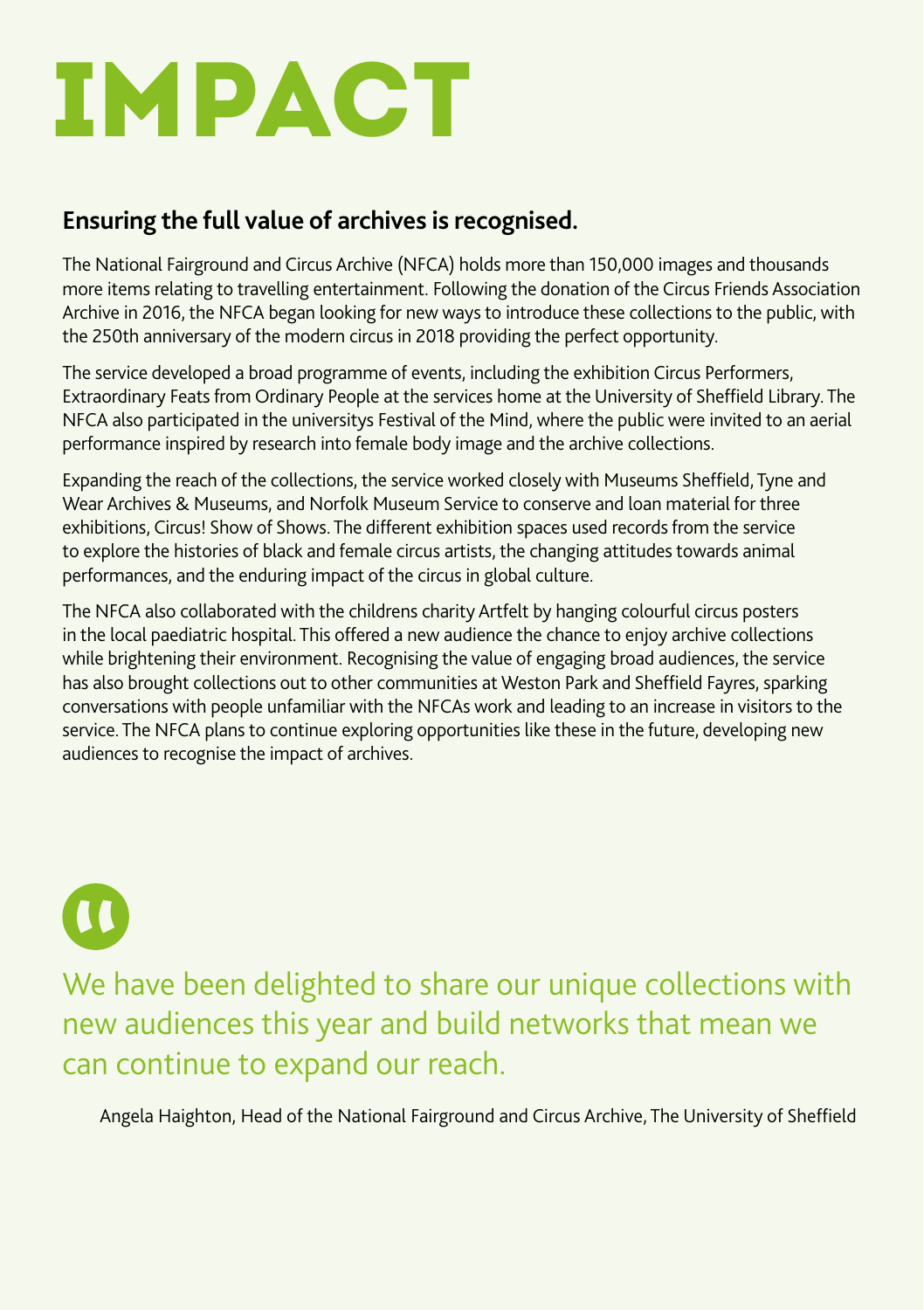### IMPACT.

#### **Ensuring the full value of archives is recognised.**

The National Fairground and Circus Archive (NFCA) holds more than 150,000 images and thousands more items relating to travelling entertainment. Following the donation of the Circus Friends Association Archive in 2016, the NFCA began looking for new ways to introduce these collections to the public, with the 250th anniversary of the modern circus in 2018 providing the perfect opportunity.

The service developed a broad programme of events, including the exhibition Circus Performers, Extraordinary Feats from Ordinary People at the services home at the University of Sheffield Library. The NFCA also participated in the universitys Festival of the Mind, where the public were invited to an aerial performance inspired by research into female body image and the archive collections.

Expanding the reach of the collections, the service worked closely with Museums Sheffield, Tyne and Wear Archives & Museums, and Norfolk Museum Service to conserve and loan material for three exhibitions, Circus! Show of Shows. The different exhibition spaces used records from the service to explore the histories of black and female circus artists, the changing attitudes towards animal performances, and the enduring impact of the circus in global culture.

The NFCA also collaborated with the childrens charity Artfelt by hanging colourful circus posters in the local paediatric hospital. This offered a new audience the chance to enjoy archive collections while brightening their environment. Recognising the value of engaging broad audiences, the service has also brought collections out to other communities at Weston Park and Sheffield Fayres, sparking conversations with people unfamiliar with the NFCAs work and leading to an increase in visitors to the service. The NFCA plans to continue exploring opportunities like these in the future, developing new audiences to recognise the impact of archives.

 $\overline{\mathbf{u}}$ 

We have been delighted to share our unique collections with new audiences this year and build networks that mean we can continue to expand our reach.

Angela Haighton, Head of the National Fairground and Circus Archive, The University of Sheffield.